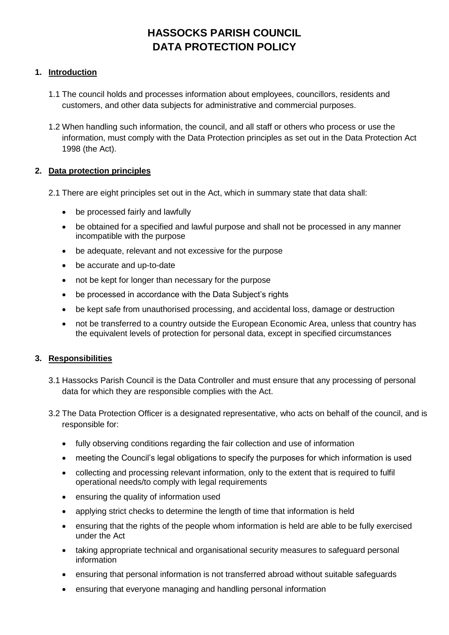# **HASSOCKS PARISH COUNCIL DATA PROTECTION POLICY**

## **1. Introduction**

- 1.1 The council holds and processes information about employees, councillors, residents and customers, and other data subjects for administrative and commercial purposes.
- 1.2 When handling such information, the council, and all staff or others who process or use the information, must comply with the Data Protection principles as set out in the Data Protection Act 1998 (the Act).

## **2. Data protection principles**

- 2.1 There are eight principles set out in the Act, which in summary state that data shall:
	- be processed fairly and lawfully
	- be obtained for a specified and lawful purpose and shall not be processed in any manner incompatible with the purpose
	- be adequate, relevant and not excessive for the purpose
	- be accurate and up-to-date
	- not be kept for longer than necessary for the purpose
	- be processed in accordance with the Data Subject's rights
	- be kept safe from unauthorised processing, and accidental loss, damage or destruction
	- not be transferred to a country outside the European Economic Area, unless that country has the equivalent levels of protection for personal data, except in specified circumstances

## **3. Responsibilities**

- 3.1 Hassocks Parish Council is the Data Controller and must ensure that any processing of personal data for which they are responsible complies with the Act.
- 3.2 The Data Protection Officer is a designated representative, who acts on behalf of the council, and is responsible for:
	- fully observing conditions regarding the fair collection and use of information
	- meeting the Council's legal obligations to specify the purposes for which information is used
	- collecting and processing relevant information, only to the extent that is required to fulfil operational needs/to comply with legal requirements
	- ensuring the quality of information used
	- applying strict checks to determine the length of time that information is held
	- ensuring that the rights of the people whom information is held are able to be fully exercised under the Act
	- taking appropriate technical and organisational security measures to safeguard personal information
	- ensuring that personal information is not transferred abroad without suitable safeguards
	- ensuring that everyone managing and handling personal information